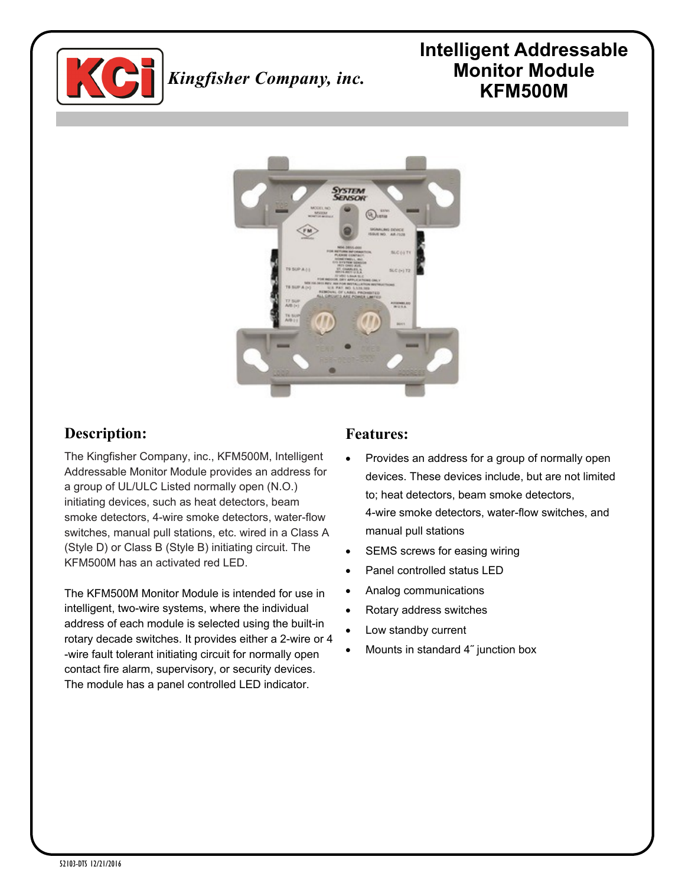

# *Kingfisher Company, inc.*

# **Intelligent Addressable Monitor Module KFM500M**



## **Description:**

The Kingfisher Company, inc., KFM500M, Intelligent Addressable Monitor Module provides an address for a group of UL/ULC Listed normally open (N.O.) initiating devices, such as heat detectors, beam smoke detectors, 4-wire smoke detectors, water-flow switches, manual pull stations, etc. wired in a Class A (Style D) or Class B (Style B) initiating circuit. The KFM500M has an activated red LED.

The KFM500M Monitor Module is intended for use in intelligent, two-wire systems, where the individual address of each module is selected using the built-in rotary decade switches. It provides either a 2-wire or 4 -wire fault tolerant initiating circuit for normally open contact fire alarm, supervisory, or security devices. The module has a panel controlled LED indicator.

#### **Features:**

- Provides an address for a group of normally open devices. These devices include, but are not limited to; heat detectors, beam smoke detectors, 4-wire smoke detectors, water-flow switches, and manual pull stations
- SEMS screws for easing wiring
- Panel controlled status LED
- Analog communications
- Rotary address switches
- Low standby current
- Mounts in standard 4˝ junction box